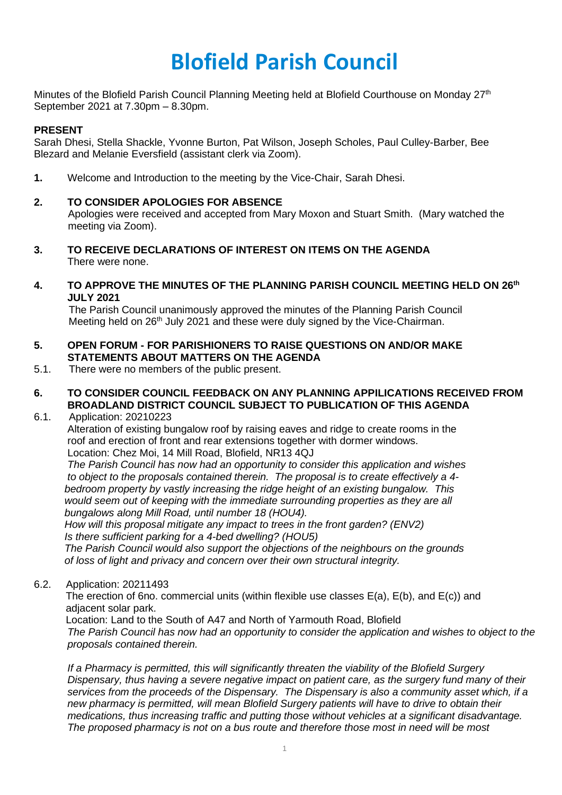# **Blofield Parish Council**

Minutes of the Blofield Parish Council Planning Meeting held at Blofield Courthouse on Monday 27<sup>th</sup> September 2021 at 7.30pm – 8.30pm.

# **PRESENT**

Sarah Dhesi, Stella Shackle, Yvonne Burton, Pat Wilson, Joseph Scholes, Paul Culley-Barber, Bee Blezard and Melanie Eversfield (assistant clerk via Zoom).

**1.** Welcome and Introduction to the meeting by the Vice-Chair, Sarah Dhesi.

# **2. TO CONSIDER APOLOGIES FOR ABSENCE**

Apologies were received and accepted from Mary Moxon and Stuart Smith. (Mary watched the meeting via Zoom).

- **3. TO RECEIVE DECLARATIONS OF INTEREST ON ITEMS ON THE AGENDA** There were none.
- **4. TO APPROVE THE MINUTES OF THE PLANNING PARISH COUNCIL MEETING HELD ON 26 th JULY 2021**

The Parish Council unanimously approved the minutes of the Planning Parish Council Meeting held on 26<sup>th</sup> July 2021 and these were duly signed by the Vice-Chairman.

- **5. OPEN FORUM - FOR PARISHIONERS TO RAISE QUESTIONS ON AND/OR MAKE STATEMENTS ABOUT MATTERS ON THE AGENDA**
- 5.1. There were no members of the public present.
- **6. TO CONSIDER COUNCIL FEEDBACK ON ANY PLANNING APPILICATIONS RECEIVED FROM BROADLAND DISTRICT COUNCIL SUBJECT TO PUBLICATION OF THIS AGENDA**
- 6.1. Application: 20210223

Alteration of existing bungalow roof by raising eaves and ridge to create rooms in the roof and erection of front and rear extensions together with dormer windows. Location: Chez Moi, 14 Mill Road, Blofield, NR13 4QJ

*The Parish Council has now had an opportunity to consider this application and wishes to object to the proposals contained therein. The proposal is to create effectively a 4 bedroom property by vastly increasing the ridge height of an existing bungalow. This would seem out of keeping with the immediate surrounding properties as they are all bungalows along Mill Road, until number 18 (HOU4).*

*How will this proposal mitigate any impact to trees in the front garden? (ENV2) Is there sufficient parking for a 4-bed dwelling? (HOU5)*

*The Parish Council would also support the objections of the neighbours on the grounds of loss of light and privacy and concern over their own structural integrity.*

6.2. Application: 20211493

 The erection of 6no. commercial units (within flexible use classes E(a), E(b), and E(c)) and adjacent solar park.

Location: Land to the South of A47 and North of Yarmouth Road, Blofield

The Parish Council has now had an opportunity to consider the application and wishes to object to the *proposals contained therein.*

*If a Pharmacy is permitted, this will significantly threaten the viability of the Blofield Surgery Dispensary, thus having a severe negative impact on patient care, as the surgery fund many of their services from the proceeds of the Dispensary. The Dispensary is also a community asset which, if a new pharmacy is permitted, will mean Blofield Surgery patients will have to drive to obtain their medications, thus increasing traffic and putting those without vehicles at a significant disadvantage. The proposed pharmacy is not on a bus route and therefore those most in need will be most*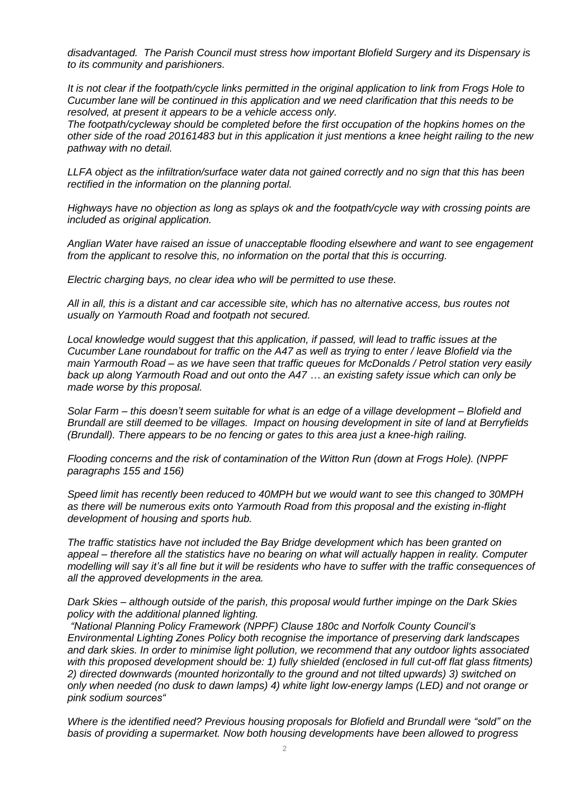*disadvantaged. The Parish Council must stress how important Blofield Surgery and its Dispensary is to its community and parishioners.*

It is not clear if the footpath/cycle links permitted in the original application to link from Frogs Hole to *Cucumber lane will be continued in this application and we need clarification that this needs to be resolved, at present it appears to be a vehicle access only.*

*The footpath/cycleway should be completed before the first occupation of the hopkins homes on the* other side of the road 20161483 but in this application it just mentions a knee height railing to the new *pathway with no detail.*

*LLFA object as the infiltration/surface water data not gained correctly and no sign that this has been rectified in the information on the planning portal.*

*Highways have no objection as long as splays ok and the footpath/cycle way with crossing points are included as original application.*

*Anglian Water have raised an issue of unacceptable flooding elsewhere and want to see engagement from the applicant to resolve this, no information on the portal that this is occurring.*

*Electric charging bays, no clear idea who will be permitted to use these.*

All in all, this is a distant and car accessible site, which has no alternative access, bus routes not *usually on Yarmouth Road and footpath not secured.* 

*Local knowledge would suggest that this application, if passed, will lead to traffic issues at the* Cucumber Lane roundabout for traffic on the A47 as well as trying to enter / leave Blofield via the main Yarmouth Road – as we have seen that traffic queues for McDonalds / Petrol station very easily back up along Yarmouth Road and out onto the A47 ... an existing safety issue which can only be *made worse by this proposal.*

Solar Farm – this doesn't seem suitable for what is an edge of a village development – Blofield and *Brundall are still deemed to be villages. Impact on housing development in site of land at Berryfields (Brundall). There appears to be no fencing or gates to this area just a knee-high railing.*

*Flooding concerns and the risk of contamination of the Witton Run (down at Frogs Hole). (NPPF paragraphs 155 and 156)*

*Speed limit has recently been reduced to 40MPH but we would want to see this changed to 30MPH as there will be numerous exits onto Yarmouth Road from this proposal and the existing in-flight development of housing and sports hub.*

*The traffic statistics have not included the Bay Bridge development which has been granted on appeal – therefore all the statistics have no bearing on what will actually happen in reality. Computer* modelling will say it's all fine but it will be residents who have to suffer with the traffic consequences of *all the approved developments in the area.*

*Dark Skies – although outside of the parish, this proposal would further impinge on the Dark Skies policy with the additional planned lighting.*

*"National Planning Policy Framework (NPPF) Clause 180c and Norfolk County Council's Environmental Lighting Zones Policy both recognise the importance of preserving dark landscapes and dark skies. In order to minimise light pollution, we recommend that any outdoor lights associated with this proposed development should be: 1) fully shielded (enclosed in full cut-off flat glass fitments) 2) directed downwards (mounted horizontally to the ground and not tilted upwards) 3) switched on only when needed (no dusk to dawn lamps) 4) white light low-energy lamps (LED) and not orange or pink sodium sources"*

*Where is the identified need? Previous housing proposals for Blofield and Brundall were "sold" on the basis of providing a supermarket. Now both housing developments have been allowed to progress*